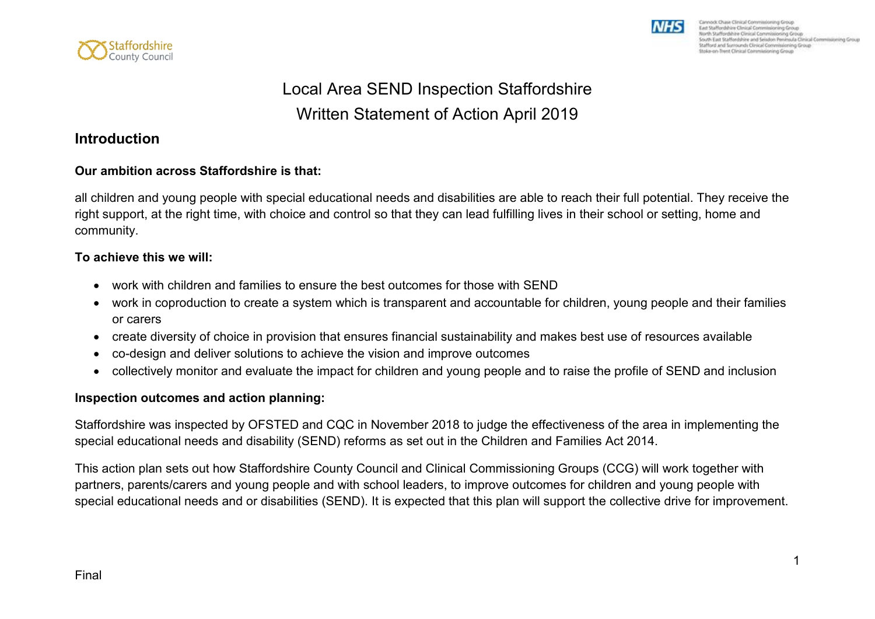



# Local Area SEND Inspection Staffordshire Written Statement of Action April 2019

#### **Introduction**

#### **Our ambition across Staffordshire is that:**

all children and young people with special educational needs and disabilities are able to reach their full potential. They receive the right support, at the right time, with choice and control so that they can lead fulfilling lives in their school or setting, home and community.

#### **To achieve this we will:**

- work with children and families to ensure the best outcomes for those with SEND
- work in coproduction to create a system which is transparent and accountable for children, young people and their families or carers
- create diversity of choice in provision that ensures financial sustainability and makes best use of resources available
- co-design and deliver solutions to achieve the vision and improve outcomes
- collectively monitor and evaluate the impact for children and young people and to raise the profile of SEND and inclusion

#### **Inspection outcomes and action planning:**

Staffordshire was inspected by OFSTED and CQC in November 2018 to judge the effectiveness of the area in implementing the special educational needs and disability (SEND) reforms as set out in the Children and Families Act 2014.

This action plan sets out how Staffordshire County Council and Clinical Commissioning Groups (CCG) will work together with partners, parents/carers and young people and with school leaders, to improve outcomes for children and young people with special educational needs and or disabilities (SEND). It is expected that this plan will support the collective drive for improvement.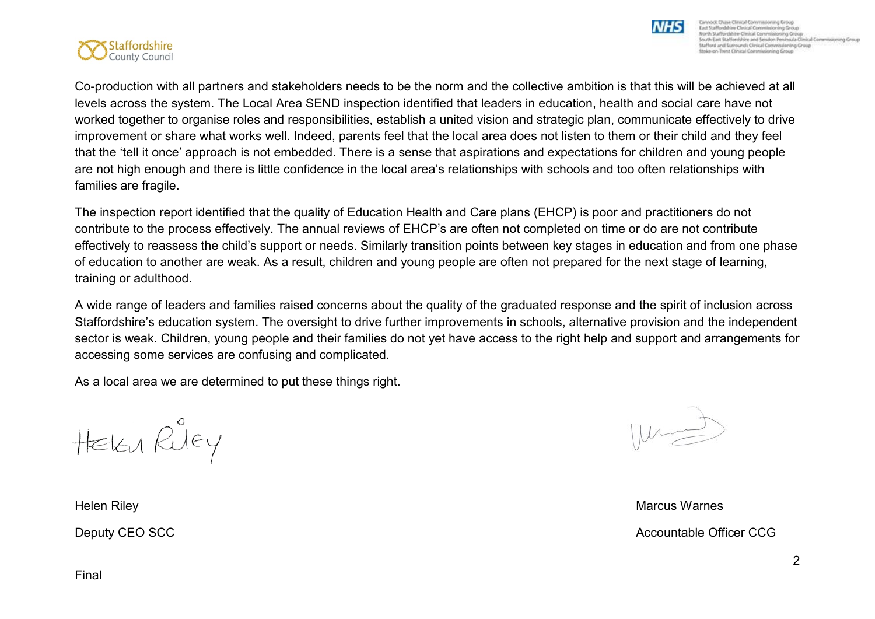

Cannock Chase Clinical Commissioning G East Staffordshire Clinical Commissioning Group North Staffordshire Circuit Commissioning Group<br>South East Staffordshire and Selation Peninsula Circuit Commissioning Group<br>Stafford and Surrounds Clinical Commissioning Group Stoke-on-Trent Clinical Commissioning Group

Co-production with all partners and stakeholders needs to be the norm and the collective ambition is that this will be achieved at all levels across the system. The Local Area SEND inspection identified that leaders in education, health and social care have not worked together to organise roles and responsibilities, establish a united vision and strategic plan, communicate effectively to drive improvement or share what works well. Indeed, parents feel that the local area does not listen to them or their child and they feel that the 'tell it once' approach is not embedded. There is a sense that aspirations and expectations for children and young people are not high enough and there is little confidence in the local area's relationships with schools and too often relationships with families are fragile.

The inspection report identified that the quality of Education Health and Care plans (EHCP) is poor and practitioners do not contribute to the process effectively. The annual reviews of EHCP's are often not completed on time or do are not contribute effectively to reassess the child's support or needs. Similarly transition points between key stages in education and from one phase of education to another are weak. As a result, children and young people are often not prepared for the next stage of learning, training or adulthood.

A wide range of leaders and families raised concerns about the quality of the graduated response and the spirit of inclusion across Staffordshire's education system. The oversight to drive further improvements in schools, alternative provision and the independent sector is weak. Children, young people and their families do not yet have access to the right help and support and arrangements for accessing some services are confusing and complicated.

As a local area we are determined to put these things right.

HEKU RUEY

NHS

Helen Riley Marcus Warnes Deputy CEO SCC **COUNTER Accountable Officer CCG**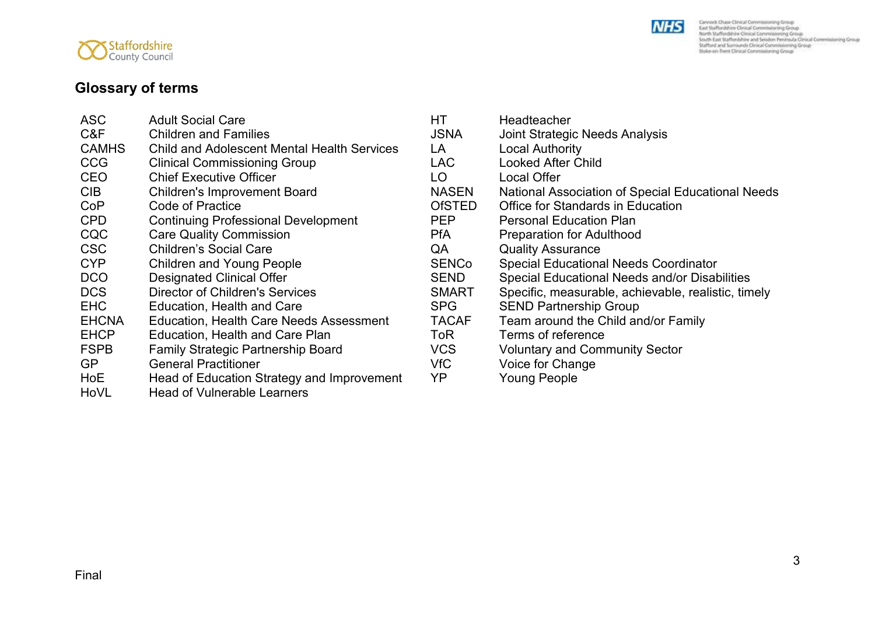



## **Glossary of terms**

| <b>ASC</b>   | <b>Adult Social Care</b>                       | HТ            | Headteacher                                         |
|--------------|------------------------------------------------|---------------|-----------------------------------------------------|
| C&F          | <b>Children and Families</b>                   | <b>JSNA</b>   | <b>Joint Strategic Needs Analysis</b>               |
| <b>CAMHS</b> | Child and Adolescent Mental Health Services    | LA            | <b>Local Authority</b>                              |
| <b>CCG</b>   | <b>Clinical Commissioning Group</b>            | LAC.          | <b>Looked After Child</b>                           |
| <b>CEO</b>   | <b>Chief Executive Officer</b>                 | LO            | <b>Local Offer</b>                                  |
| <b>CIB</b>   | <b>Children's Improvement Board</b>            | <b>NASEN</b>  | National Association of Special Educational Needs   |
| CoP          | <b>Code of Practice</b>                        | <b>OfSTED</b> | <b>Office for Standards in Education</b>            |
| <b>CPD</b>   | <b>Continuing Professional Development</b>     | <b>PEP</b>    | <b>Personal Education Plan</b>                      |
| CQC          | <b>Care Quality Commission</b>                 | <b>PfA</b>    | <b>Preparation for Adulthood</b>                    |
| <b>CSC</b>   | <b>Children's Social Care</b>                  | QA            | <b>Quality Assurance</b>                            |
| <b>CYP</b>   | <b>Children and Young People</b>               | <b>SENCo</b>  | <b>Special Educational Needs Coordinator</b>        |
| <b>DCO</b>   | <b>Designated Clinical Offer</b>               | <b>SEND</b>   | Special Educational Needs and/or Disabilities       |
| <b>DCS</b>   | <b>Director of Children's Services</b>         | <b>SMART</b>  | Specific, measurable, achievable, realistic, timely |
| <b>EHC</b>   | Education, Health and Care                     | <b>SPG</b>    | <b>SEND Partnership Group</b>                       |
| <b>EHCNA</b> | <b>Education, Health Care Needs Assessment</b> | <b>TACAF</b>  | Team around the Child and/or Family                 |
| <b>EHCP</b>  | <b>Education, Health and Care Plan</b>         | ToR           | Terms of reference                                  |
| <b>FSPB</b>  | <b>Family Strategic Partnership Board</b>      | <b>VCS</b>    | <b>Voluntary and Community Sector</b>               |
| <b>GP</b>    | <b>General Practitioner</b>                    | VfC           | Voice for Change                                    |
| <b>HoE</b>   | Head of Education Strategy and Improvement     | YP            | <b>Young People</b>                                 |
| HoVL         | <b>Head of Vulnerable Learners</b>             |               |                                                     |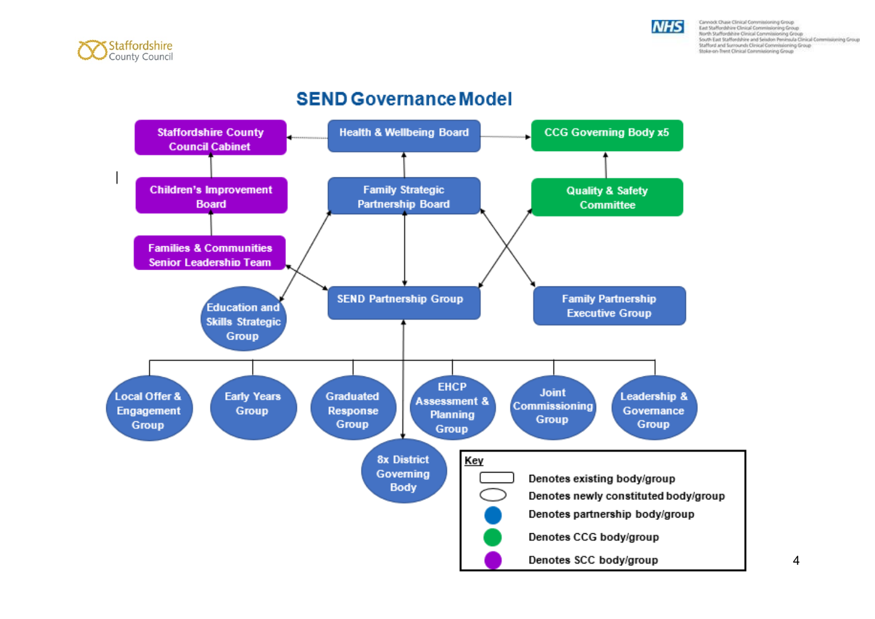



## **SEND Governance Model**

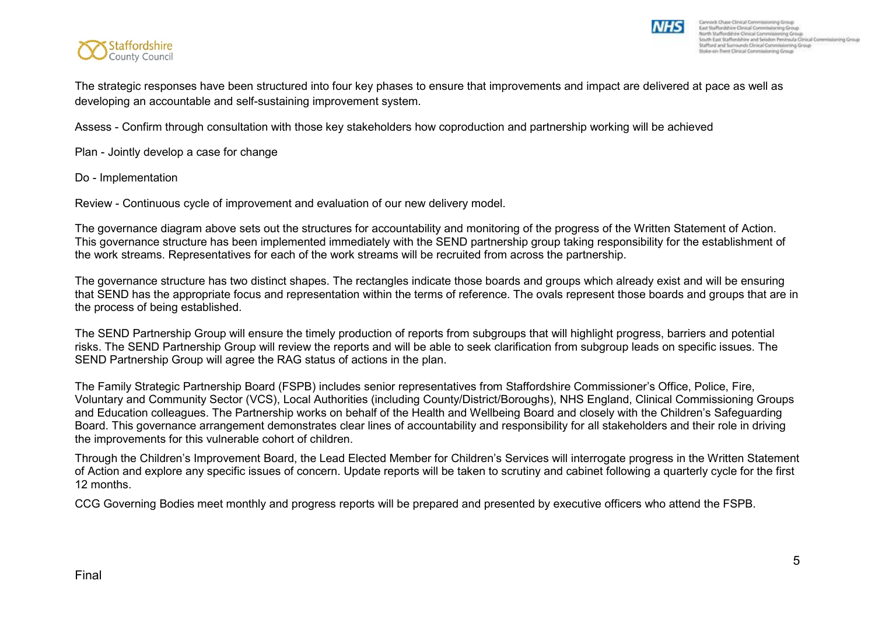

The strategic responses have been structured into four key phases to ensure that improvements and impact are delivered at pace as well as developing an accountable and self-sustaining improvement system.

Assess - Confirm through consultation with those key stakeholders how coproduction and partnership working will be achieved

Plan - Jointly develop a case for change

Do - Implementation

Review - Continuous cycle of improvement and evaluation of our new delivery model.

The governance diagram above sets out the structures for accountability and monitoring of the progress of the Written Statement of Action. This governance structure has been implemented immediately with the SEND partnership group taking responsibility for the establishment of the work streams. Representatives for each of the work streams will be recruited from across the partnership.

The governance structure has two distinct shapes. The rectangles indicate those boards and groups which already exist and will be ensuring that SEND has the appropriate focus and representation within the terms of reference. The ovals represent those boards and groups that are in the process of being established.

The SEND Partnership Group will ensure the timely production of reports from subgroups that will highlight progress, barriers and potential risks. The SEND Partnership Group will review the reports and will be able to seek clarification from subgroup leads on specific issues. The SEND Partnership Group will agree the RAG status of actions in the plan.

The Family Strategic Partnership Board (FSPB) includes senior representatives from Staffordshire Commissioner's Office, Police, Fire, Voluntary and Community Sector (VCS), Local Authorities (including County/District/Boroughs), NHS England, Clinical Commissioning Groups and Education colleagues. The Partnership works on behalf of the Health and Wellbeing Board and closely with the Children's Safeguarding Board. This governance arrangement demonstrates clear lines of accountability and responsibility for all stakeholders and their role in driving the improvements for this vulnerable cohort of children.

Through the Children's Improvement Board, the Lead Elected Member for Children's Services will interrogate progress in the Written Statement of Action and explore any specific issues of concern. Update reports will be taken to scrutiny and cabinet following a quarterly cycle for the first 12 months.

CCG Governing Bodies meet monthly and progress reports will be prepared and presented by executive officers who attend the FSPB.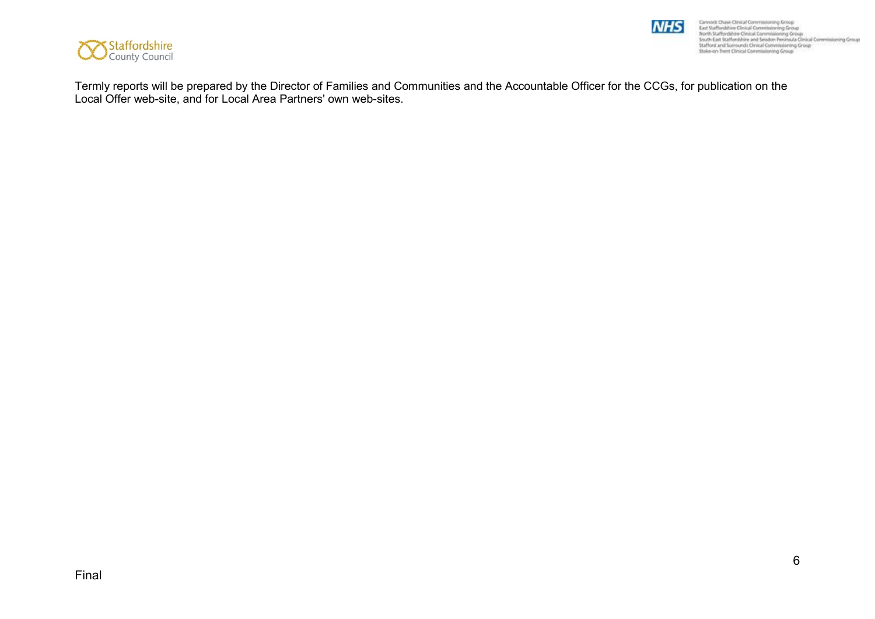

Cannock Chuse Clinical Commissioning Group<br>East Staffordshire Clinical Commissioning Group<br>Month Staffordshire Clinical Commissioning Group<br>South East Staffordshire and Seisdon Peninsula Clinical Commissioning Group<br>Staffo

**NHS** 

Termly reports will be prepared by the Director of Families and Communities and the Accountable Officer for the CCGs, for publication on the Local Offer web-site, and for Local Area Partners' own web-sites.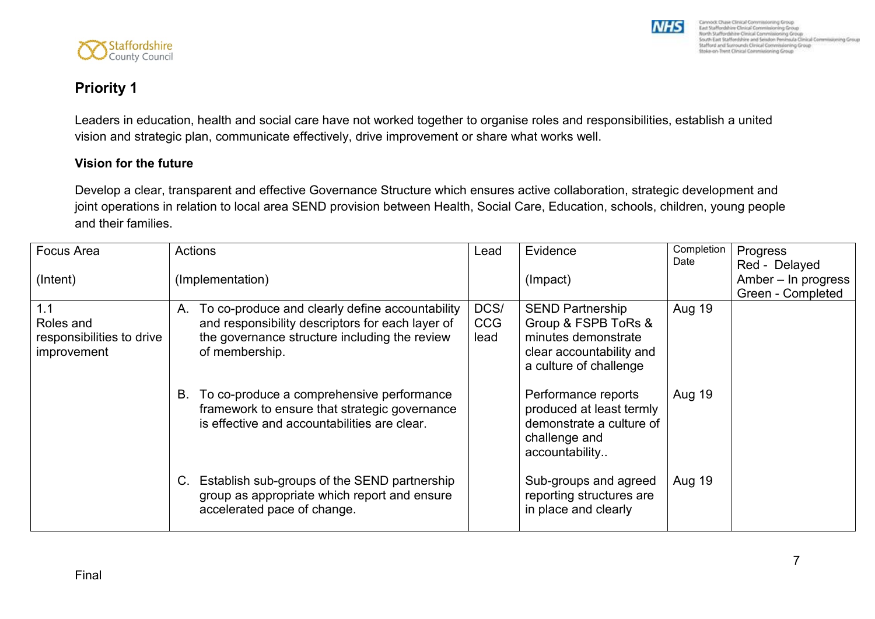

# **Priority 1**

Leaders in education, health and social care have not worked together to organise roles and responsibilities, establish a united vision and strategic plan, communicate effectively, drive improvement or share what works well.

#### **Vision for the future**

Staffordshire

Develop a clear, transparent and effective Governance Structure which ensures active collaboration, strategic development and joint operations in relation to local area SEND provision between Health, Social Care, Education, schools, children, young people and their families.

| Focus Area                                                   | <b>Actions</b>                                                                                                                                                            | Lead                       | Evidence                                                                                                                    | Completion<br>Date | Progress<br>Red - Delayed                |
|--------------------------------------------------------------|---------------------------------------------------------------------------------------------------------------------------------------------------------------------------|----------------------------|-----------------------------------------------------------------------------------------------------------------------------|--------------------|------------------------------------------|
| (Intent)                                                     | (Implementation)                                                                                                                                                          |                            | (Impact)                                                                                                                    |                    | Amber - In progress<br>Green - Completed |
| 1.1<br>Roles and<br>responsibilities to drive<br>improvement | A. To co-produce and clearly define accountability<br>and responsibility descriptors for each layer of<br>the governance structure including the review<br>of membership. | DCS/<br><b>CCG</b><br>lead | <b>SEND Partnership</b><br>Group & FSPB ToRs &<br>minutes demonstrate<br>clear accountability and<br>a culture of challenge | <b>Aug 19</b>      |                                          |
|                                                              | To co-produce a comprehensive performance<br>В.<br>framework to ensure that strategic governance<br>is effective and accountabilities are clear.                          |                            | Performance reports<br>produced at least termly<br>demonstrate a culture of<br>challenge and<br>accountability              | <b>Aug 19</b>      |                                          |
|                                                              | Establish sub-groups of the SEND partnership<br>C.<br>group as appropriate which report and ensure<br>accelerated pace of change.                                         |                            | Sub-groups and agreed<br>reporting structures are<br>in place and clearly                                                   | <b>Aug 19</b>      |                                          |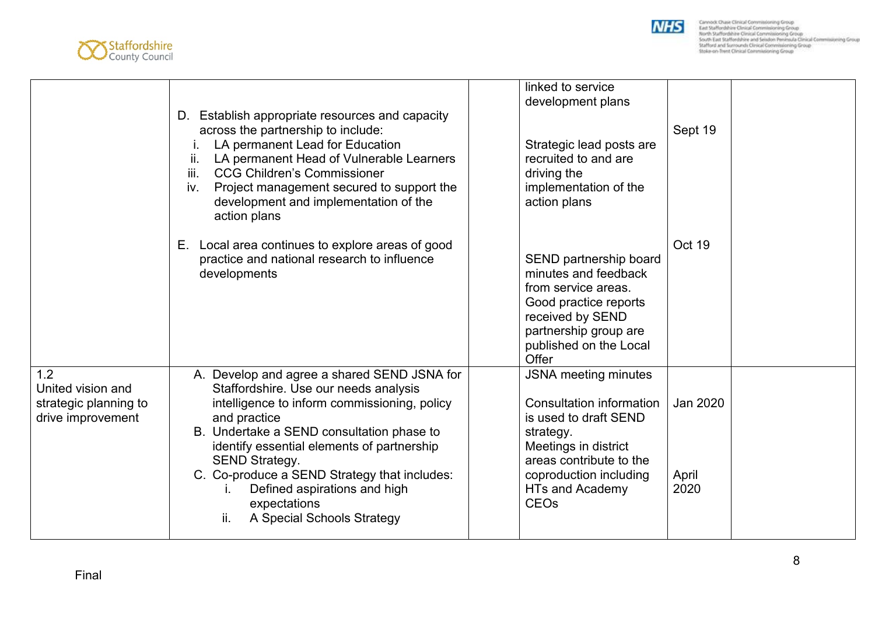



|                                                                        | D. Establish appropriate resources and capacity<br>across the partnership to include:<br>LA permanent Lead for Education<br>LA permanent Head of Vulnerable Learners<br>ii.<br><b>CCG Children's Commissioner</b><br>iii.<br>Project management secured to support the<br>iv.<br>development and implementation of the<br>action plans                                                                        | linked to service<br>development plans<br>Strategic lead posts are<br>recruited to and are<br>driving the<br>implementation of the<br>action plans                                                                             | Sept 19                   |
|------------------------------------------------------------------------|---------------------------------------------------------------------------------------------------------------------------------------------------------------------------------------------------------------------------------------------------------------------------------------------------------------------------------------------------------------------------------------------------------------|--------------------------------------------------------------------------------------------------------------------------------------------------------------------------------------------------------------------------------|---------------------------|
|                                                                        | E. Local area continues to explore areas of good<br>practice and national research to influence<br>developments                                                                                                                                                                                                                                                                                               | SEND partnership board<br>minutes and feedback<br>from service areas.<br>Good practice reports<br>received by SEND<br>partnership group are<br>published on the Local<br>Offer                                                 | Oct 19                    |
| 1.2<br>United vision and<br>strategic planning to<br>drive improvement | A. Develop and agree a shared SEND JSNA for<br>Staffordshire. Use our needs analysis<br>intelligence to inform commissioning, policy<br>and practice<br>B. Undertake a SEND consultation phase to<br>identify essential elements of partnership<br><b>SEND Strategy.</b><br>C. Co-produce a SEND Strategy that includes:<br>Defined aspirations and high<br>expectations<br>A Special Schools Strategy<br>ii. | <b>JSNA</b> meeting minutes<br>Consultation information<br>is used to draft SEND<br>strategy.<br>Meetings in district<br>areas contribute to the<br>coproduction including<br><b>HTs and Academy</b><br><b>CEO<sub>s</sub></b> | Jan 2020<br>April<br>2020 |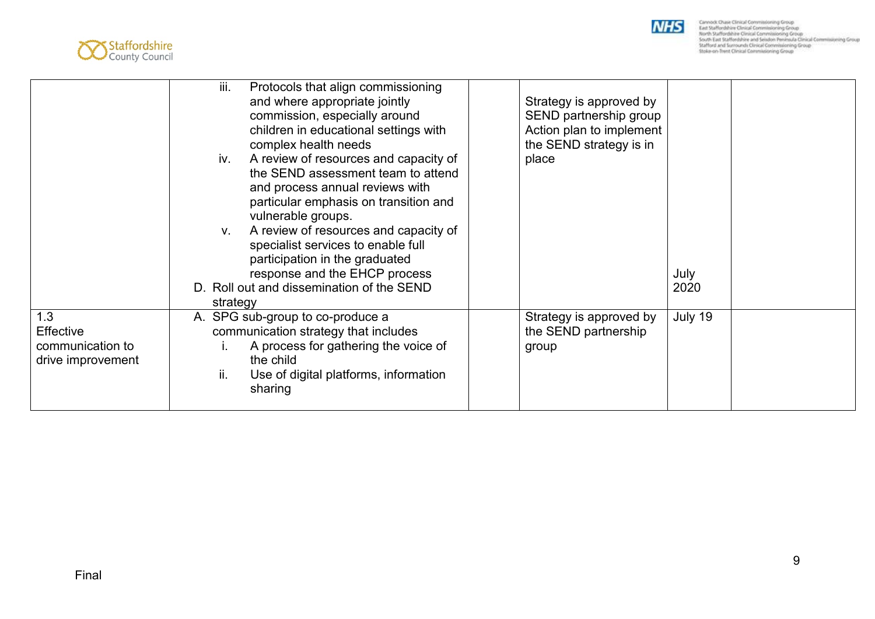



|                                                                  | Protocols that align commissioning<br>iii.<br>and where appropriate jointly<br>commission, especially around<br>children in educational settings with<br>complex health needs<br>A review of resources and capacity of<br>iv.<br>the SEND assessment team to attend<br>and process annual reviews with<br>particular emphasis on transition and<br>vulnerable groups.<br>A review of resources and capacity of<br>V.<br>specialist services to enable full<br>participation in the graduated<br>response and the EHCP process<br>D. Roll out and dissemination of the SEND<br>strategy | Strategy is approved by<br>SEND partnership group<br>Action plan to implement<br>the SEND strategy is in<br>place | July<br>2020 |  |
|------------------------------------------------------------------|----------------------------------------------------------------------------------------------------------------------------------------------------------------------------------------------------------------------------------------------------------------------------------------------------------------------------------------------------------------------------------------------------------------------------------------------------------------------------------------------------------------------------------------------------------------------------------------|-------------------------------------------------------------------------------------------------------------------|--------------|--|
| 1.3<br><b>Effective</b><br>communication to<br>drive improvement | A. SPG sub-group to co-produce a<br>communication strategy that includes<br>A process for gathering the voice of<br>the child<br>ii.<br>Use of digital platforms, information<br>sharing                                                                                                                                                                                                                                                                                                                                                                                               | Strategy is approved by<br>the SEND partnership<br>group                                                          | July 19      |  |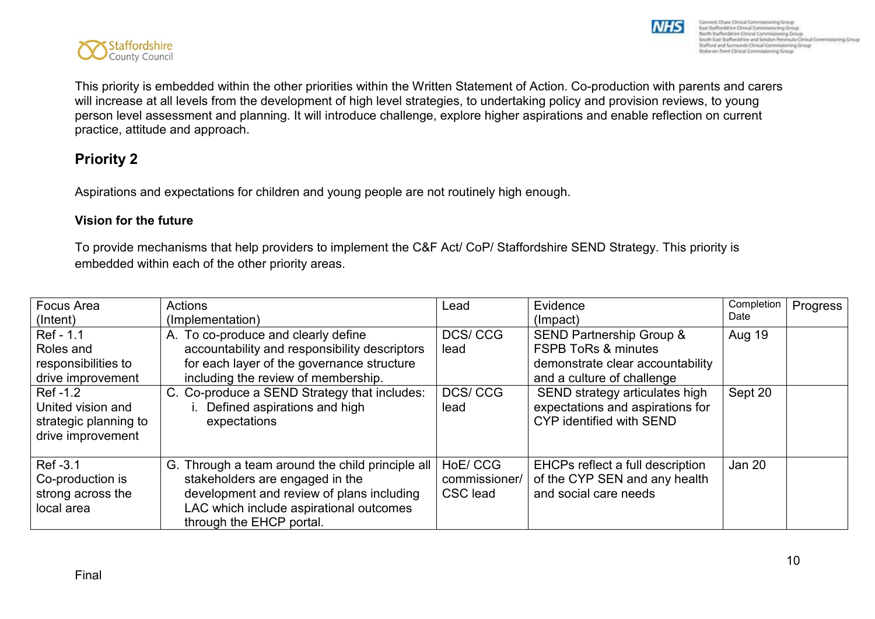

This priority is embedded within the other priorities within the Written Statement of Action. Co-production with parents and carers will increase at all levels from the development of high level strategies, to undertaking policy and provision reviews, to young person level assessment and planning. It will introduce challenge, explore higher aspirations and enable reflection on current practice, attitude and approach.

### **Priority 2**

Aspirations and expectations for children and young people are not routinely high enough.

#### **Vision for the future**

To provide mechanisms that help providers to implement the C&F Act/ CoP/ Staffordshire SEND Strategy. This priority is embedded within each of the other priority areas.

| <b>Focus Area</b>     | <b>Actions</b>                                   | Lead          | Evidence                                | Completion    | Progress |
|-----------------------|--------------------------------------------------|---------------|-----------------------------------------|---------------|----------|
| (Intent)              | (Implementation)                                 |               | (Impact)                                | Date          |          |
| Ref - 1.1             | A. To co-produce and clearly define              | DCS/CCG       | <b>SEND Partnership Group &amp;</b>     | <b>Aug 19</b> |          |
| Roles and             | accountability and responsibility descriptors    | lead          | <b>FSPB ToRs &amp; minutes</b>          |               |          |
| responsibilities to   | for each layer of the governance structure       |               | demonstrate clear accountability        |               |          |
| drive improvement     | including the review of membership.              |               | and a culture of challenge              |               |          |
| Ref -1.2              | C. Co-produce a SEND Strategy that includes:     | DCS/CCG       | SEND strategy articulates high          | Sept 20       |          |
| United vision and     | i. Defined aspirations and high                  | lead          | expectations and aspirations for        |               |          |
| strategic planning to | expectations                                     |               | CYP identified with SEND                |               |          |
| drive improvement     |                                                  |               |                                         |               |          |
|                       |                                                  |               |                                         |               |          |
| Ref -3.1              | G. Through a team around the child principle all | HoE/CCG       | <b>EHCPs reflect a full description</b> | <b>Jan 20</b> |          |
| Co-production is      | stakeholders are engaged in the                  | commissioner/ | of the CYP SEN and any health           |               |          |
| strong across the     | development and review of plans including        | CSC lead      | and social care needs                   |               |          |
| local area            | LAC which include aspirational outcomes          |               |                                         |               |          |
|                       | through the EHCP portal.                         |               |                                         |               |          |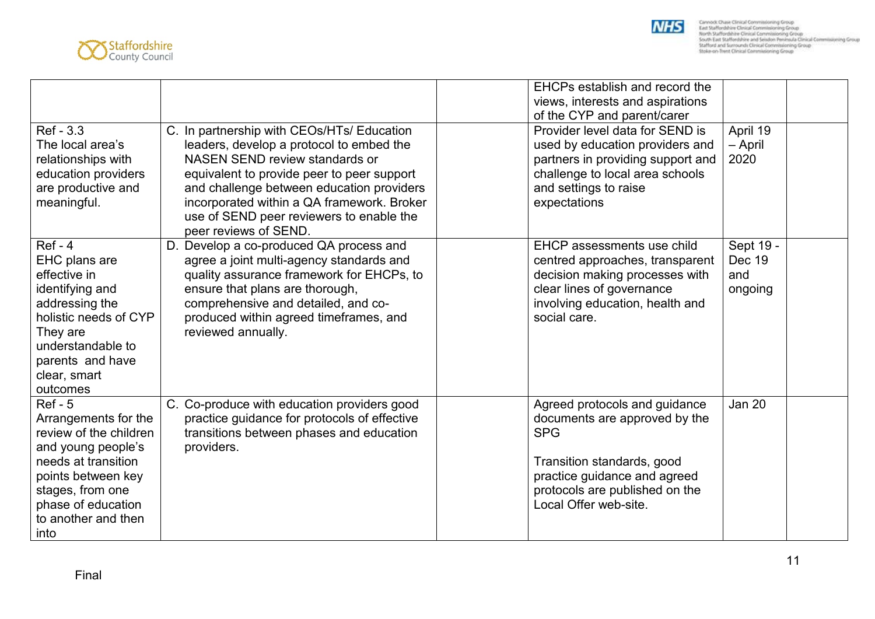



|                        |                                              | EHCPs establish and record the    |               |
|------------------------|----------------------------------------------|-----------------------------------|---------------|
|                        |                                              | views, interests and aspirations  |               |
|                        |                                              | of the CYP and parent/carer       |               |
| Ref - 3.3              | C. In partnership with CEOs/HTs/ Education   | Provider level data for SEND is   | April 19      |
| The local area's       | leaders, develop a protocol to embed the     | used by education providers and   | – April       |
| relationships with     | NASEN SEND review standards or               | partners in providing support and | 2020          |
| education providers    | equivalent to provide peer to peer support   | challenge to local area schools   |               |
| are productive and     | and challenge between education providers    | and settings to raise             |               |
| meaningful.            | incorporated within a QA framework. Broker   | expectations                      |               |
|                        | use of SEND peer reviewers to enable the     |                                   |               |
|                        | peer reviews of SEND.                        |                                   |               |
| $Ref - 4$              | D. Develop a co-produced QA process and      | EHCP assessments use child        | Sept 19 -     |
| EHC plans are          | agree a joint multi-agency standards and     | centred approaches, transparent   | Dec 19        |
| effective in           | quality assurance framework for EHCPs, to    | decision making processes with    | and           |
| identifying and        | ensure that plans are thorough,              | clear lines of governance         | ongoing       |
| addressing the         | comprehensive and detailed, and co-          | involving education, health and   |               |
| holistic needs of CYP  | produced within agreed timeframes, and       | social care.                      |               |
| They are               | reviewed annually.                           |                                   |               |
| understandable to      |                                              |                                   |               |
| parents and have       |                                              |                                   |               |
| clear, smart           |                                              |                                   |               |
| outcomes               |                                              |                                   |               |
| $Ref - 5$              | C. Co-produce with education providers good  | Agreed protocols and guidance     | <b>Jan 20</b> |
| Arrangements for the   | practice guidance for protocols of effective | documents are approved by the     |               |
| review of the children | transitions between phases and education     | <b>SPG</b>                        |               |
| and young people's     | providers.                                   |                                   |               |
| needs at transition    |                                              | Transition standards, good        |               |
| points between key     |                                              | practice guidance and agreed      |               |
| stages, from one       |                                              | protocols are published on the    |               |
| phase of education     |                                              | Local Offer web-site.             |               |
| to another and then    |                                              |                                   |               |
| into                   |                                              |                                   |               |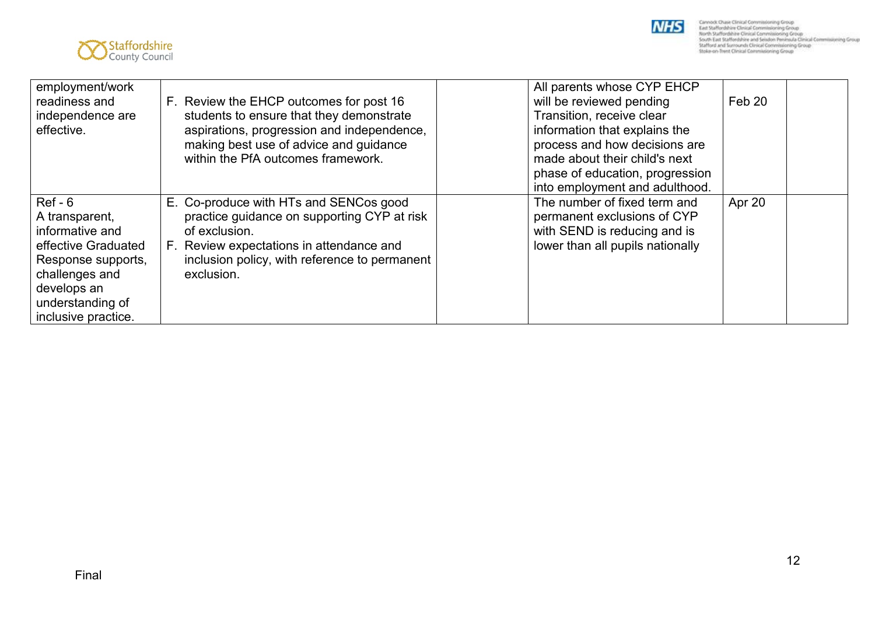



| employment/work<br>readiness and<br>independence are<br>effective.                                                                                                      | F. Review the EHCP outcomes for post 16<br>students to ensure that they demonstrate<br>aspirations, progression and independence,<br>making best use of advice and guidance<br>within the PfA outcomes framework. | All parents whose CYP EHCP<br>will be reviewed pending<br>Transition, receive clear<br>information that explains the<br>process and how decisions are<br>made about their child's next<br>phase of education, progression<br>into employment and adulthood. | Feb 20 |  |
|-------------------------------------------------------------------------------------------------------------------------------------------------------------------------|-------------------------------------------------------------------------------------------------------------------------------------------------------------------------------------------------------------------|-------------------------------------------------------------------------------------------------------------------------------------------------------------------------------------------------------------------------------------------------------------|--------|--|
| $Ref - 6$<br>A transparent,<br>informative and<br>effective Graduated<br>Response supports,<br>challenges and<br>develops an<br>understanding of<br>inclusive practice. | E. Co-produce with HTs and SENCos good<br>practice guidance on supporting CYP at risk<br>of exclusion.<br>F. Review expectations in attendance and<br>inclusion policy, with reference to permanent<br>exclusion. | The number of fixed term and<br>permanent exclusions of CYP<br>with SEND is reducing and is<br>lower than all pupils nationally                                                                                                                             | Apr 20 |  |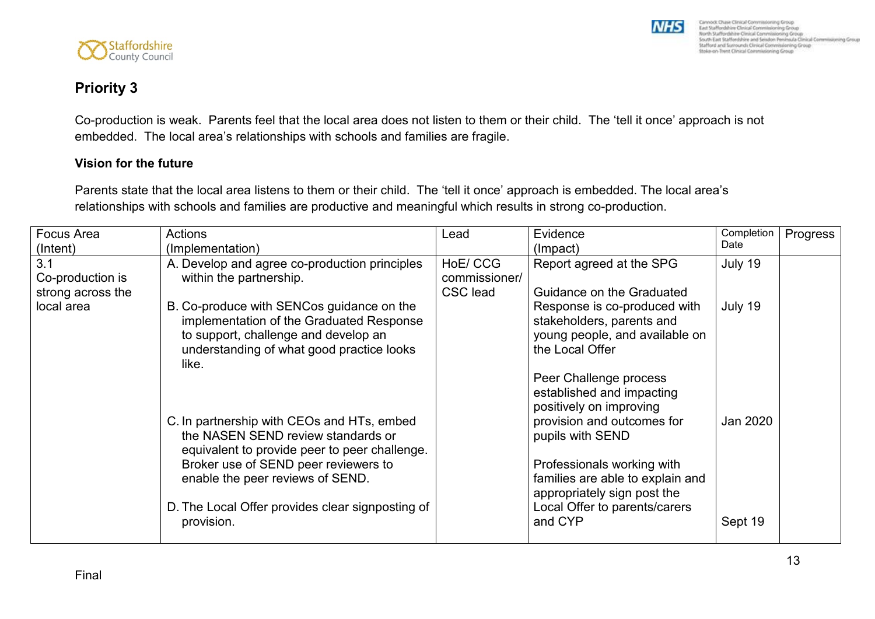

### **Priority 3**

Co-production is weak. Parents feel that the local area does not listen to them or their child. The 'tell it once' approach is not embedded. The local area's relationships with schools and families are fragile.

#### **Vision for the future**

Parents state that the local area listens to them or their child. The 'tell it once' approach is embedded. The local area's relationships with schools and families are productive and meaningful which results in strong co-production.

| <b>Focus Area</b> | <b>Actions</b>                                   | Lead          | Evidence                         | Completion | Progress |
|-------------------|--------------------------------------------------|---------------|----------------------------------|------------|----------|
| (Intent)          | (Implementation)                                 |               | (Impact)                         | Date       |          |
| 3.1               | A. Develop and agree co-production principles    | HoE/CCG       | Report agreed at the SPG         | July 19    |          |
| Co-production is  | within the partnership.                          | commissioner/ |                                  |            |          |
| strong across the |                                                  | CSC lead      | Guidance on the Graduated        |            |          |
| local area        | B. Co-produce with SENCos guidance on the        |               | Response is co-produced with     | July 19    |          |
|                   | implementation of the Graduated Response         |               | stakeholders, parents and        |            |          |
|                   | to support, challenge and develop an             |               | young people, and available on   |            |          |
|                   | understanding of what good practice looks        |               | the Local Offer                  |            |          |
|                   | like.                                            |               |                                  |            |          |
|                   |                                                  |               | Peer Challenge process           |            |          |
|                   |                                                  |               | established and impacting        |            |          |
|                   |                                                  |               | positively on improving          |            |          |
|                   | C. In partnership with CEOs and HTs, embed       |               | provision and outcomes for       | Jan 2020   |          |
|                   | the NASEN SEND review standards or               |               | pupils with SEND                 |            |          |
|                   | equivalent to provide peer to peer challenge.    |               |                                  |            |          |
|                   | Broker use of SEND peer reviewers to             |               | Professionals working with       |            |          |
|                   | enable the peer reviews of SEND.                 |               | families are able to explain and |            |          |
|                   |                                                  |               | appropriately sign post the      |            |          |
|                   | D. The Local Offer provides clear signposting of |               | Local Offer to parents/carers    |            |          |
|                   | provision.                                       |               | and CYP                          | Sept 19    |          |
|                   |                                                  |               |                                  |            |          |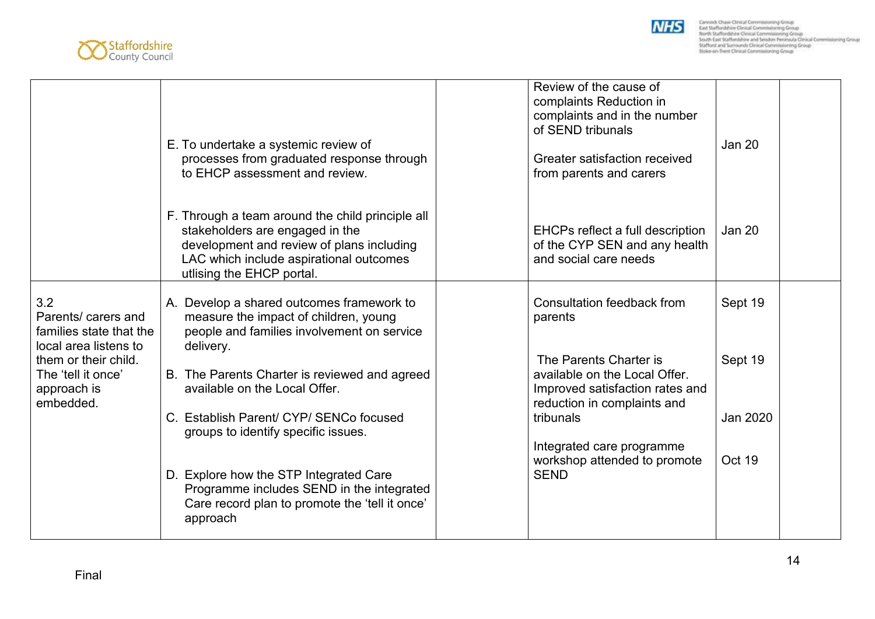



|                                                                                | E. To undertake a systemic review of<br>processes from graduated response through<br>to EHCP assessment and review.                                                                                      | Review of the cause of<br>complaints Reduction in<br>complaints and in the number<br>of SEND tribunals<br>Greater satisfaction received<br>from parents and carers | <b>Jan 20</b>       |
|--------------------------------------------------------------------------------|----------------------------------------------------------------------------------------------------------------------------------------------------------------------------------------------------------|--------------------------------------------------------------------------------------------------------------------------------------------------------------------|---------------------|
|                                                                                | F. Through a team around the child principle all<br>stakeholders are engaged in the<br>development and review of plans including<br>LAC which include aspirational outcomes<br>utlising the EHCP portal. | EHCPs reflect a full description<br>of the CYP SEN and any health<br>and social care needs                                                                         | Jan 20              |
| 3.2<br>Parents/ carers and<br>families state that the<br>local area listens to | A. Develop a shared outcomes framework to<br>measure the impact of children, young<br>people and families involvement on service<br>delivery.                                                            | Consultation feedback from<br>parents                                                                                                                              | Sept 19             |
| them or their child.<br>The 'tell it once'<br>approach is<br>embedded.         | B. The Parents Charter is reviewed and agreed<br>available on the Local Offer.<br>C. Establish Parent/ CYP/ SENCo focused                                                                                | The Parents Charter is<br>available on the Local Offer.<br>Improved satisfaction rates and<br>reduction in complaints and<br>tribunals                             | Sept 19<br>Jan 2020 |
|                                                                                | groups to identify specific issues.<br>D. Explore how the STP Integrated Care<br>Programme includes SEND in the integrated<br>Care record plan to promote the 'tell it once'<br>approach                 | Integrated care programme<br>workshop attended to promote<br><b>SEND</b>                                                                                           | Oct 19              |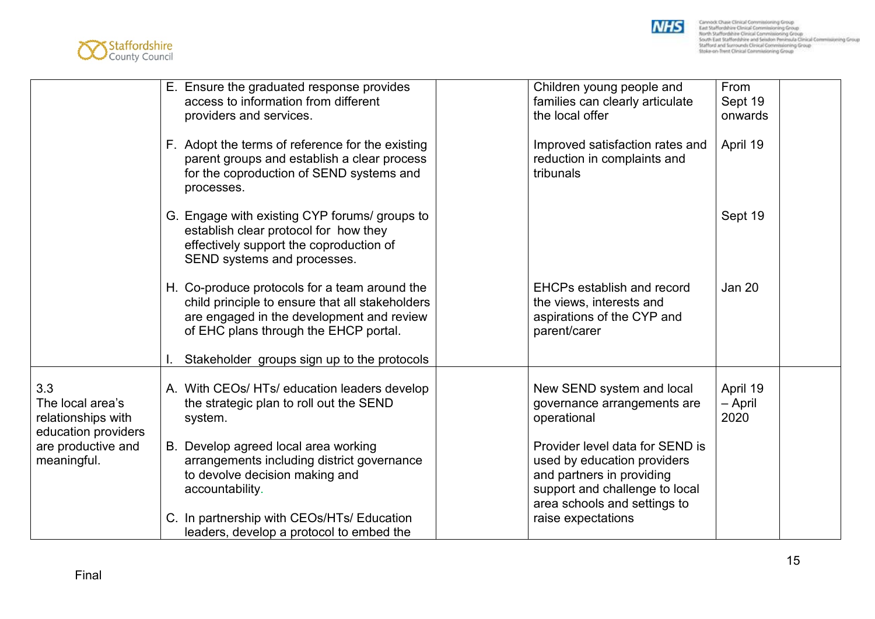



|                                                                      | E. Ensure the graduated response provides<br>access to information from different<br>providers and services.                                                                           | Children young people and<br>families can clearly articulate<br>the local offer                                                                               | From<br>Sept 19<br>onwards  |
|----------------------------------------------------------------------|----------------------------------------------------------------------------------------------------------------------------------------------------------------------------------------|---------------------------------------------------------------------------------------------------------------------------------------------------------------|-----------------------------|
|                                                                      | F. Adopt the terms of reference for the existing<br>parent groups and establish a clear process<br>for the coproduction of SEND systems and<br>processes.                              | Improved satisfaction rates and<br>reduction in complaints and<br>tribunals                                                                                   | April 19                    |
|                                                                      | G. Engage with existing CYP forums/ groups to<br>establish clear protocol for how they<br>effectively support the coproduction of<br>SEND systems and processes.                       |                                                                                                                                                               | Sept 19                     |
|                                                                      | H. Co-produce protocols for a team around the<br>child principle to ensure that all stakeholders<br>are engaged in the development and review<br>of EHC plans through the EHCP portal. | <b>EHCPs establish and record</b><br>the views, interests and<br>aspirations of the CYP and<br>parent/carer                                                   | Jan 20                      |
|                                                                      | Stakeholder groups sign up to the protocols                                                                                                                                            |                                                                                                                                                               |                             |
| 3.3<br>The local area's<br>relationships with<br>education providers | A. With CEOs/HTs/ education leaders develop<br>the strategic plan to roll out the SEND<br>system.                                                                                      | New SEND system and local<br>governance arrangements are<br>operational                                                                                       | April 19<br>- April<br>2020 |
| are productive and<br>meaningful.                                    | B. Develop agreed local area working<br>arrangements including district governance<br>to devolve decision making and<br>accountability.                                                | Provider level data for SEND is<br>used by education providers<br>and partners in providing<br>support and challenge to local<br>area schools and settings to |                             |
|                                                                      | C. In partnership with CEOs/HTs/ Education<br>leaders, develop a protocol to embed the                                                                                                 | raise expectations                                                                                                                                            |                             |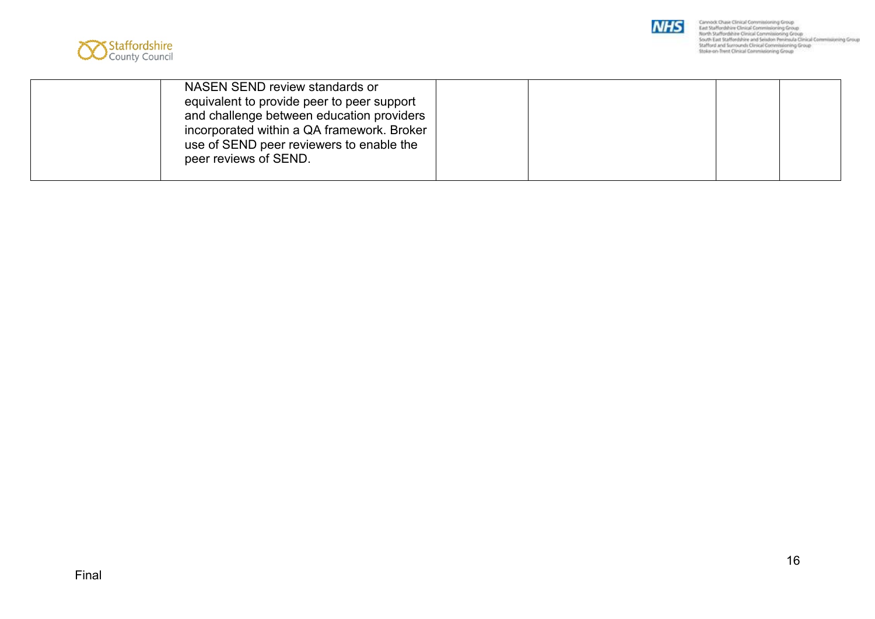



| NASEN SEND review standards or<br>equivalent to provide peer to peer support<br>and challenge between education providers<br>incorporated within a QA framework. Broker<br>use of SEND peer reviewers to enable the<br>peer reviews of SEND. |  |  |  |
|----------------------------------------------------------------------------------------------------------------------------------------------------------------------------------------------------------------------------------------------|--|--|--|
|----------------------------------------------------------------------------------------------------------------------------------------------------------------------------------------------------------------------------------------------|--|--|--|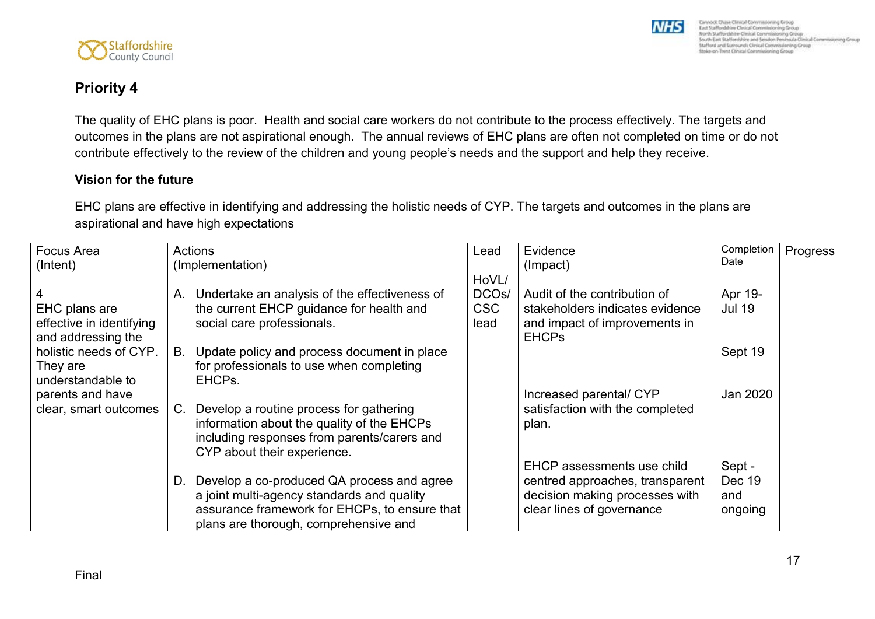

Cannock Chase Clinical Commissioning Group East Staffordshire Clesical Commissioning Group Search Staffordshire Clinical Commissioning Group<br>South East Staffordshire and Seledon Peninsula Clinical Commissioning Group<br>Stafford and Surrounds Clinical Commissioning Group Stoke-on-Trent Clinical Commissioning Group

**NHS** 

### **Priority 4**

The quality of EHC plans is poor. Health and social care workers do not contribute to the process effectively. The targets and outcomes in the plans are not aspirational enough. The annual reviews of EHC plans are often not completed on time or do not contribute effectively to the review of the children and young people's needs and the support and help they receive.

#### **Vision for the future**

EHC plans are effective in identifying and addressing the holistic needs of CYP. The targets and outcomes in the plans are aspirational and have high expectations

| Focus Area                                              | Actions                                                                                                                                                                               | Lead                                      | Evidence                                                                                                                     | Completion                         | Progress |
|---------------------------------------------------------|---------------------------------------------------------------------------------------------------------------------------------------------------------------------------------------|-------------------------------------------|------------------------------------------------------------------------------------------------------------------------------|------------------------------------|----------|
| (Intent)                                                | (Implementation)                                                                                                                                                                      |                                           | (Impact)                                                                                                                     | Date                               |          |
| EHC plans are                                           | A. Undertake an analysis of the effectiveness of<br>the current EHCP guidance for health and                                                                                          | HoVL/<br>DCO <sub>s</sub> /<br><b>CSC</b> | Audit of the contribution of<br>stakeholders indicates evidence                                                              | Apr 19-<br><b>Jul 19</b>           |          |
| effective in identifying<br>and addressing the          | social care professionals.                                                                                                                                                            | lead                                      | and impact of improvements in<br><b>EHCPs</b>                                                                                |                                    |          |
| holistic needs of CYP.<br>They are<br>understandable to | Update policy and process document in place<br>B.<br>for professionals to use when completing<br>EHCPs.                                                                               |                                           |                                                                                                                              | Sept 19                            |          |
| parents and have<br>clear, smart outcomes               | Develop a routine process for gathering<br>$C_{\cdot}$<br>information about the quality of the EHCPs<br>including responses from parents/carers and<br>CYP about their experience.    |                                           | Increased parental/ CYP<br>satisfaction with the completed<br>plan.                                                          | Jan 2020                           |          |
|                                                         | D. Develop a co-produced QA process and agree<br>a joint multi-agency standards and quality<br>assurance framework for EHCPs, to ensure that<br>plans are thorough, comprehensive and |                                           | EHCP assessments use child<br>centred approaches, transparent<br>decision making processes with<br>clear lines of governance | Sept -<br>Dec 19<br>and<br>ongoing |          |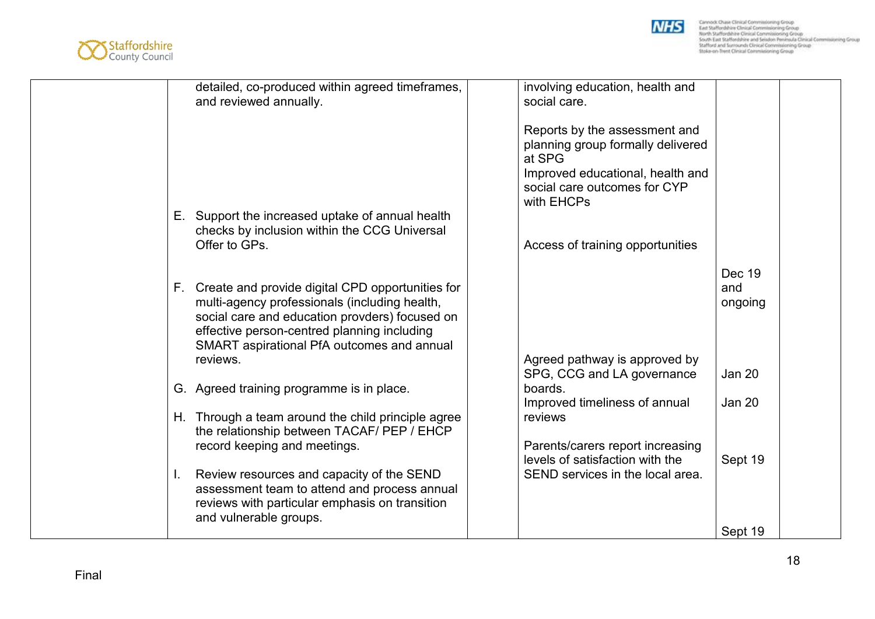



| detailed, co-produced within agreed timeframes,                                               | involving education, health and                                     |               |
|-----------------------------------------------------------------------------------------------|---------------------------------------------------------------------|---------------|
| and reviewed annually.                                                                        | social care.                                                        |               |
|                                                                                               | Reports by the assessment and                                       |               |
|                                                                                               | planning group formally delivered                                   |               |
|                                                                                               | at SPG                                                              |               |
|                                                                                               | Improved educational, health and<br>social care outcomes for CYP    |               |
|                                                                                               | with EHCPs                                                          |               |
| E. Support the increased uptake of annual health                                              |                                                                     |               |
| checks by inclusion within the CCG Universal                                                  |                                                                     |               |
| Offer to GPs.                                                                                 | Access of training opportunities                                    |               |
|                                                                                               |                                                                     | Dec 19        |
| F. Create and provide digital CPD opportunities for                                           |                                                                     | and           |
| multi-agency professionals (including health,                                                 |                                                                     | ongoing       |
| social care and education provders) focused on<br>effective person-centred planning including |                                                                     |               |
| SMART aspirational PfA outcomes and annual                                                    |                                                                     |               |
| reviews.                                                                                      | Agreed pathway is approved by                                       |               |
|                                                                                               | SPG, CCG and LA governance                                          | <b>Jan 20</b> |
| G. Agreed training programme is in place.                                                     | boards.<br>Improved timeliness of annual                            | <b>Jan 20</b> |
| H. Through a team around the child principle agree                                            | reviews                                                             |               |
| the relationship between TACAF/ PEP / EHCP                                                    |                                                                     |               |
| record keeping and meetings.                                                                  | Parents/carers report increasing<br>levels of satisfaction with the | Sept 19       |
| Review resources and capacity of the SEND<br>I.                                               | SEND services in the local area.                                    |               |
| assessment team to attend and process annual                                                  |                                                                     |               |
| reviews with particular emphasis on transition                                                |                                                                     |               |
| and vulnerable groups.                                                                        |                                                                     | Sept 19       |
|                                                                                               |                                                                     |               |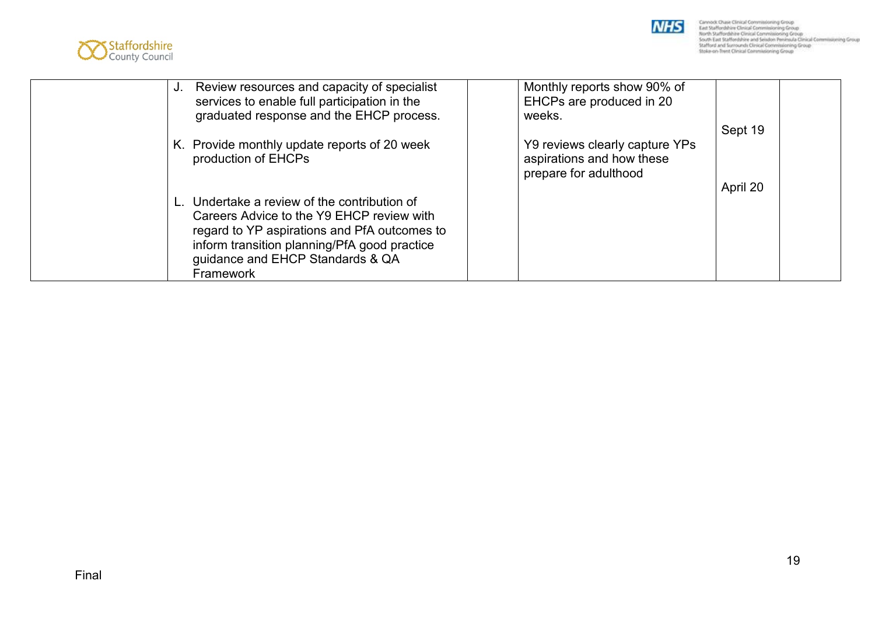



| Review resources and capacity of specialist<br>J.<br>services to enable full participation in the<br>graduated response and the EHCP process.                                                                                              | Monthly reports show 90% of<br>EHCPs are produced in 20<br>weeks.                    |          |
|--------------------------------------------------------------------------------------------------------------------------------------------------------------------------------------------------------------------------------------------|--------------------------------------------------------------------------------------|----------|
| K. Provide monthly update reports of 20 week<br>production of EHCPs                                                                                                                                                                        | Y9 reviews clearly capture YPs<br>aspirations and how these<br>prepare for adulthood | Sept 19  |
| L. Undertake a review of the contribution of<br>Careers Advice to the Y9 EHCP review with<br>regard to YP aspirations and PfA outcomes to<br>inform transition planning/PfA good practice<br>guidance and EHCP Standards & QA<br>Framework |                                                                                      | April 20 |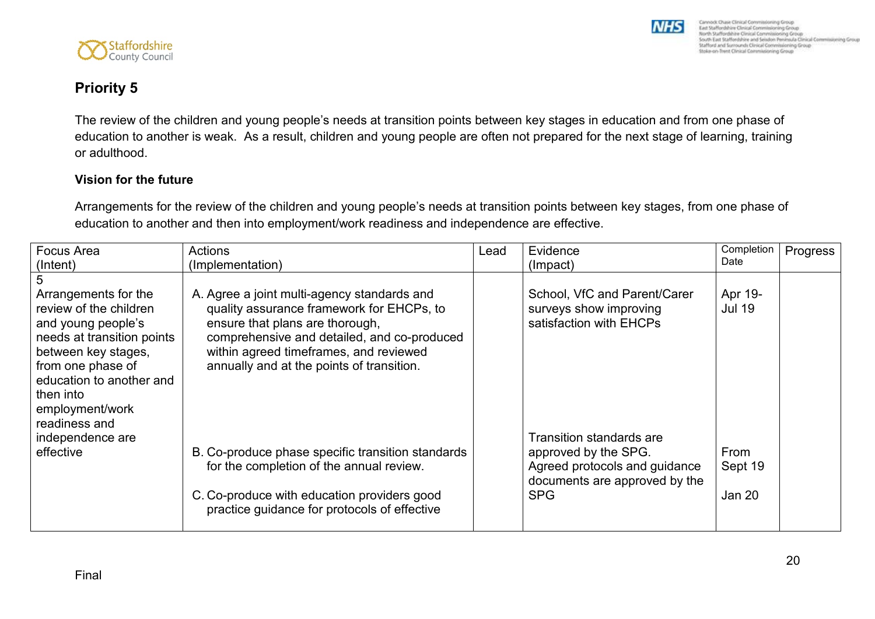



### **Priority 5**

The review of the children and young people's needs at transition points between key stages in education and from one phase of education to another is weak. As a result, children and young people are often not prepared for the next stage of learning, training or adulthood.

#### **Vision for the future**

Arrangements for the review of the children and young people's needs at transition points between key stages, from one phase of education to another and then into employment/work readiness and independence are effective.

| <b>Focus Area</b>                                                                                                                                                                                                           | Actions                                                                                                                                                                                                                                                           | Lead | Evidence                                                                                             | Completion                | Progress |
|-----------------------------------------------------------------------------------------------------------------------------------------------------------------------------------------------------------------------------|-------------------------------------------------------------------------------------------------------------------------------------------------------------------------------------------------------------------------------------------------------------------|------|------------------------------------------------------------------------------------------------------|---------------------------|----------|
| (Intent)                                                                                                                                                                                                                    | (Implementation)                                                                                                                                                                                                                                                  |      | (Impact)                                                                                             | Date                      |          |
|                                                                                                                                                                                                                             |                                                                                                                                                                                                                                                                   |      |                                                                                                      |                           |          |
| Arrangements for the<br>review of the children<br>and young people's<br>needs at transition points<br>between key stages,<br>from one phase of<br>education to another and<br>then into<br>employment/work<br>readiness and | A. Agree a joint multi-agency standards and<br>quality assurance framework for EHCPs, to<br>ensure that plans are thorough,<br>comprehensive and detailed, and co-produced<br>within agreed timeframes, and reviewed<br>annually and at the points of transition. |      | School, VfC and Parent/Carer<br>surveys show improving<br>satisfaction with EHCPs                    | Apr 19-<br><b>Jul 19</b>  |          |
| independence are                                                                                                                                                                                                            |                                                                                                                                                                                                                                                                   |      | Transition standards are                                                                             |                           |          |
| effective                                                                                                                                                                                                                   | B. Co-produce phase specific transition standards<br>for the completion of the annual review.<br>C. Co-produce with education providers good                                                                                                                      |      | approved by the SPG.<br>Agreed protocols and guidance<br>documents are approved by the<br><b>SPG</b> | From<br>Sept 19<br>Jan 20 |          |
|                                                                                                                                                                                                                             | practice guidance for protocols of effective                                                                                                                                                                                                                      |      |                                                                                                      |                           |          |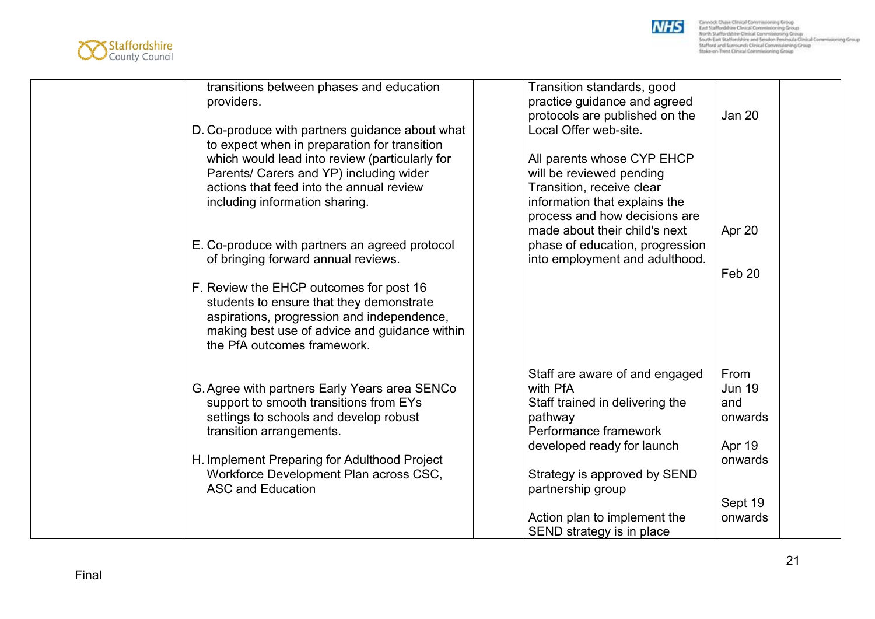



| transitions between phases and education<br>providers.                                                                                                                                                            | Transition standards, good<br>practice guidance and agreed<br>protocols are published on the | Jan 20                |
|-------------------------------------------------------------------------------------------------------------------------------------------------------------------------------------------------------------------|----------------------------------------------------------------------------------------------|-----------------------|
| D. Co-produce with partners guidance about what<br>to expect when in preparation for transition                                                                                                                   | Local Offer web-site.                                                                        |                       |
| which would lead into review (particularly for<br>Parents/ Carers and YP) including wider                                                                                                                         | All parents whose CYP EHCP<br>will be reviewed pending                                       |                       |
| actions that feed into the annual review<br>including information sharing.                                                                                                                                        | Transition, receive clear<br>information that explains the                                   |                       |
|                                                                                                                                                                                                                   | process and how decisions are                                                                |                       |
| E. Co-produce with partners an agreed protocol                                                                                                                                                                    | made about their child's next<br>phase of education, progression                             | Apr 20                |
| of bringing forward annual reviews.                                                                                                                                                                               | into employment and adulthood.                                                               | Feb 20                |
| F. Review the EHCP outcomes for post 16<br>students to ensure that they demonstrate<br>aspirations, progression and independence,<br>making best use of advice and guidance within<br>the PfA outcomes framework. |                                                                                              |                       |
| G. Agree with partners Early Years area SENCo                                                                                                                                                                     | Staff are aware of and engaged<br>with PfA                                                   | From<br><b>Jun 19</b> |
| support to smooth transitions from EYs                                                                                                                                                                            | Staff trained in delivering the                                                              | and                   |
| settings to schools and develop robust<br>transition arrangements.                                                                                                                                                | pathway<br>Performance framework                                                             | onwards               |
|                                                                                                                                                                                                                   | developed ready for launch                                                                   | Apr 19                |
| H. Implement Preparing for Adulthood Project<br>Workforce Development Plan across CSC,                                                                                                                            | Strategy is approved by SEND                                                                 | onwards               |
| <b>ASC and Education</b>                                                                                                                                                                                          | partnership group                                                                            |                       |
|                                                                                                                                                                                                                   |                                                                                              | Sept 19               |
|                                                                                                                                                                                                                   | Action plan to implement the<br>SEND strategy is in place                                    | onwards               |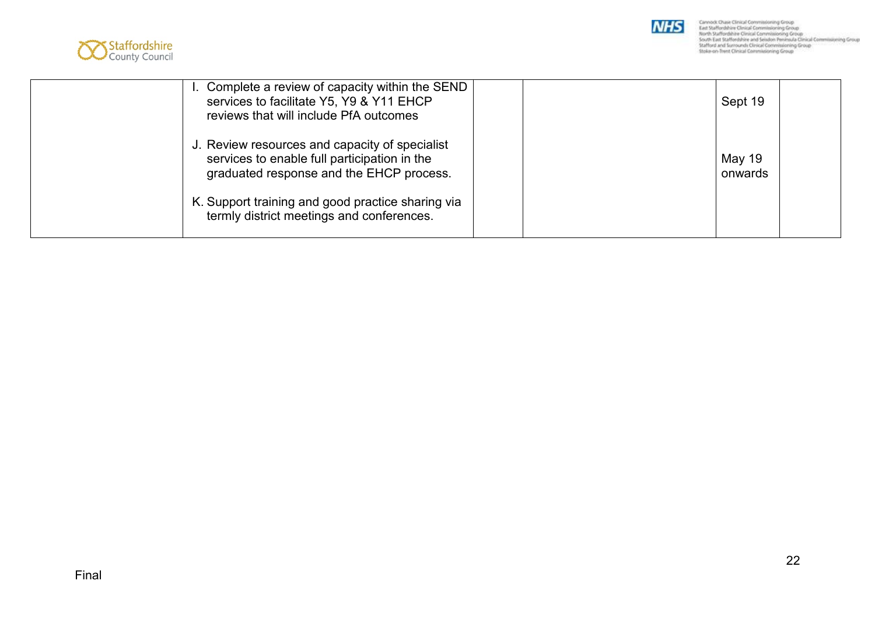



| I. Complete a review of capacity within the SEND<br>services to facilitate Y5, Y9 & Y11 EHCP<br>reviews that will include PfA outcomes                                                                                                       | Sept 19           |  |
|----------------------------------------------------------------------------------------------------------------------------------------------------------------------------------------------------------------------------------------------|-------------------|--|
| J. Review resources and capacity of specialist<br>services to enable full participation in the<br>graduated response and the EHCP process.<br>K. Support training and good practice sharing via<br>termly district meetings and conferences. | May 19<br>onwards |  |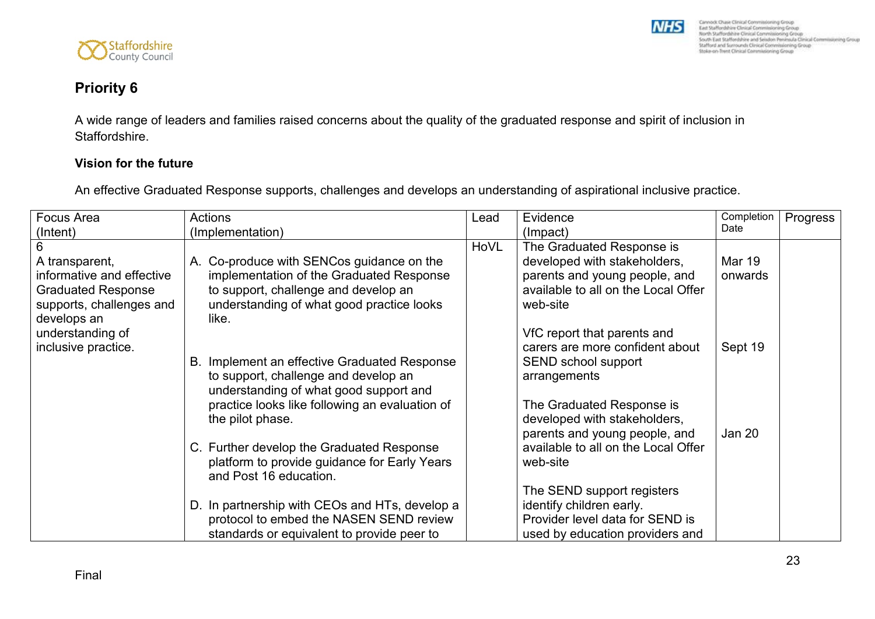

### **Priority 6**

A wide range of leaders and families raised concerns about the quality of the graduated response and spirit of inclusion in Staffordshire.

#### **Vision for the future**

An effective Graduated Response supports, challenges and develops an understanding of aspirational inclusive practice.

| <b>Focus Area</b>         | Actions                                                                                   | Lead | Evidence                                               | Completion    | Progress |
|---------------------------|-------------------------------------------------------------------------------------------|------|--------------------------------------------------------|---------------|----------|
| (Intent)                  | (Implementation)                                                                          |      | (Impact)                                               | Date          |          |
|                           |                                                                                           | HoVL | The Graduated Response is                              |               |          |
| A transparent,            | A. Co-produce with SENCos guidance on the                                                 |      | developed with stakeholders,                           | <b>Mar 19</b> |          |
| informative and effective | implementation of the Graduated Response                                                  |      | parents and young people, and                          | onwards       |          |
| <b>Graduated Response</b> | to support, challenge and develop an                                                      |      | available to all on the Local Offer                    |               |          |
| supports, challenges and  | understanding of what good practice looks                                                 |      | web-site                                               |               |          |
| develops an               | like.                                                                                     |      |                                                        |               |          |
| understanding of          |                                                                                           |      | VfC report that parents and                            |               |          |
| inclusive practice.       |                                                                                           |      | carers are more confident about                        | Sept 19       |          |
|                           | Implement an effective Graduated Response<br>В.                                           |      | SEND school support                                    |               |          |
|                           | to support, challenge and develop an                                                      |      | arrangements                                           |               |          |
|                           | understanding of what good support and                                                    |      |                                                        |               |          |
|                           | practice looks like following an evaluation of                                            |      | The Graduated Response is                              |               |          |
|                           | the pilot phase.                                                                          |      | developed with stakeholders,                           |               |          |
|                           |                                                                                           |      | parents and young people, and                          | Jan 20        |          |
|                           | C. Further develop the Graduated Response                                                 |      | available to all on the Local Offer                    |               |          |
|                           | platform to provide guidance for Early Years                                              |      | web-site                                               |               |          |
|                           | and Post 16 education.                                                                    |      |                                                        |               |          |
|                           |                                                                                           |      | The SEND support registers<br>identify children early. |               |          |
|                           | D. In partnership with CEOs and HTs, develop a<br>protocol to embed the NASEN SEND review |      | Provider level data for SEND is                        |               |          |
|                           | standards or equivalent to provide peer to                                                |      | used by education providers and                        |               |          |
|                           |                                                                                           |      |                                                        |               |          |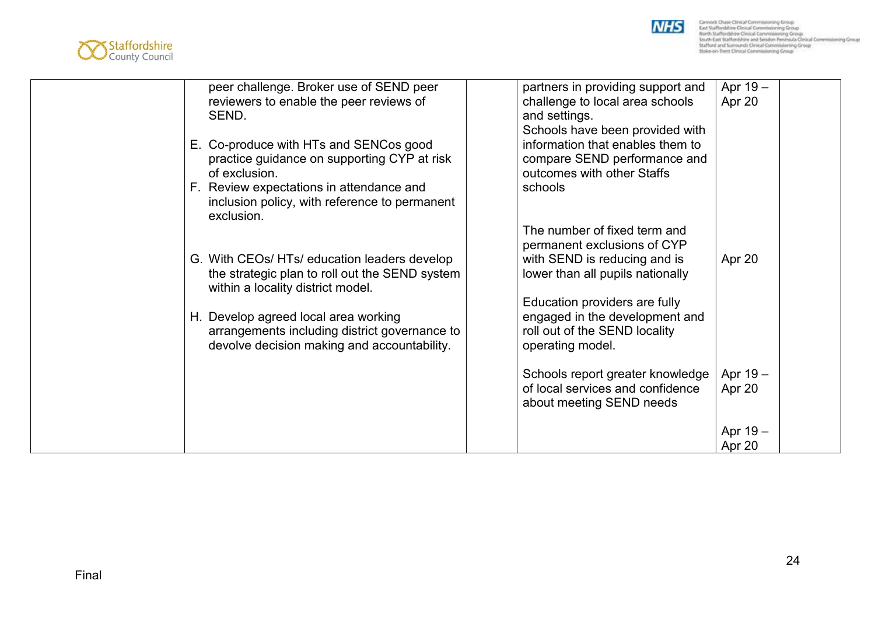



| peer challenge. Broker use of SEND peer<br>reviewers to enable the peer reviews of<br>SEND.                                          | partners in providing support and<br>challenge to local area schools<br>and settings.                                             | Apr 19-<br>Apr 20  |
|--------------------------------------------------------------------------------------------------------------------------------------|-----------------------------------------------------------------------------------------------------------------------------------|--------------------|
| E. Co-produce with HTs and SENCos good<br>practice guidance on supporting CYP at risk<br>of exclusion.                               | Schools have been provided with<br>information that enables them to<br>compare SEND performance and<br>outcomes with other Staffs |                    |
| F. Review expectations in attendance and<br>inclusion policy, with reference to permanent<br>exclusion.                              | schools                                                                                                                           |                    |
|                                                                                                                                      | The number of fixed term and<br>permanent exclusions of CYP                                                                       |                    |
| G. With CEOs/HTs/ education leaders develop<br>the strategic plan to roll out the SEND system<br>within a locality district model.   | with SEND is reducing and is<br>lower than all pupils nationally                                                                  | Apr 20             |
| H. Develop agreed local area working<br>arrangements including district governance to<br>devolve decision making and accountability. | Education providers are fully<br>engaged in the development and<br>roll out of the SEND locality<br>operating model.              |                    |
|                                                                                                                                      | Schools report greater knowledge<br>of local services and confidence<br>about meeting SEND needs                                  | Apr 19-<br>Apr 20  |
|                                                                                                                                      |                                                                                                                                   | Apr 19 -<br>Apr 20 |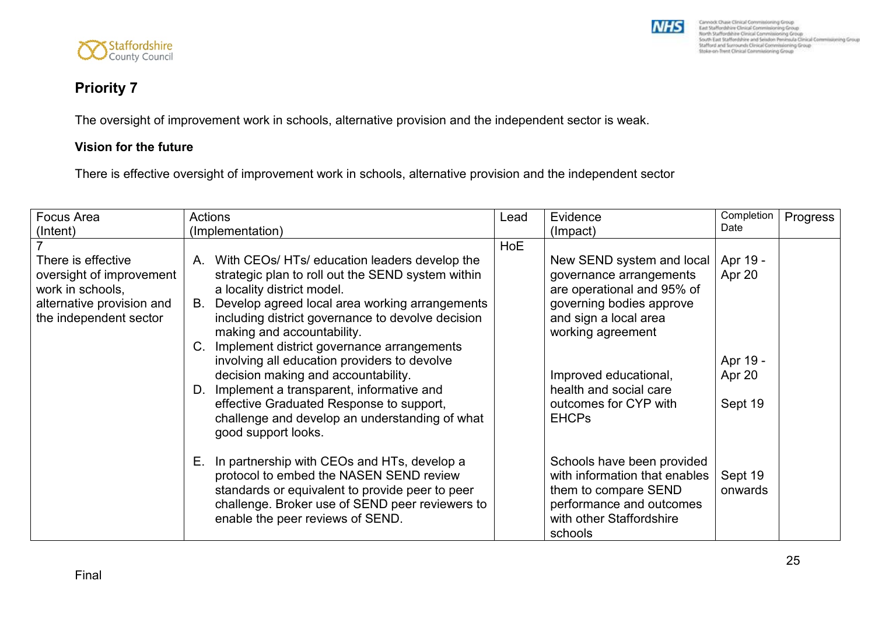



### **Priority 7**

The oversight of improvement work in schools, alternative provision and the independent sector is weak.

#### **Vision for the future**

There is effective oversight of improvement work in schools, alternative provision and the independent sector

| Focus Area                                                                                                                | <b>Actions</b>                                                                                                                                                                                                                                                                                                                                                              | Lead       | Evidence                                                                                                                                                     | Completion                     | Progress |
|---------------------------------------------------------------------------------------------------------------------------|-----------------------------------------------------------------------------------------------------------------------------------------------------------------------------------------------------------------------------------------------------------------------------------------------------------------------------------------------------------------------------|------------|--------------------------------------------------------------------------------------------------------------------------------------------------------------|--------------------------------|----------|
| (Intent)                                                                                                                  | (Implementation)                                                                                                                                                                                                                                                                                                                                                            |            | (Impact)                                                                                                                                                     | Date                           |          |
|                                                                                                                           |                                                                                                                                                                                                                                                                                                                                                                             | <b>HoE</b> |                                                                                                                                                              |                                |          |
| There is effective<br>oversight of improvement<br>work in schools,<br>alternative provision and<br>the independent sector | A. With CEOs/HTs/ education leaders develop the<br>strategic plan to roll out the SEND system within<br>a locality district model.<br>B. Develop agreed local area working arrangements<br>including district governance to devolve decision<br>making and accountability.<br>C. Implement district governance arrangements<br>involving all education providers to devolve |            | New SEND system and local<br>governance arrangements<br>are operational and 95% of<br>governing bodies approve<br>and sign a local area<br>working agreement | Apr 19 -<br>Apr 20<br>Apr 19 - |          |
|                                                                                                                           | decision making and accountability.<br>D. Implement a transparent, informative and<br>effective Graduated Response to support,<br>challenge and develop an understanding of what<br>good support looks.                                                                                                                                                                     |            | Improved educational,<br>health and social care<br>outcomes for CYP with<br><b>EHCPs</b>                                                                     | Apr 20<br>Sept 19              |          |
|                                                                                                                           | E. In partnership with CEOs and HTs, develop a<br>protocol to embed the NASEN SEND review<br>standards or equivalent to provide peer to peer<br>challenge. Broker use of SEND peer reviewers to<br>enable the peer reviews of SEND.                                                                                                                                         |            | Schools have been provided<br>with information that enables<br>them to compare SEND<br>performance and outcomes<br>with other Staffordshire<br>schools       | Sept 19<br>onwards             |          |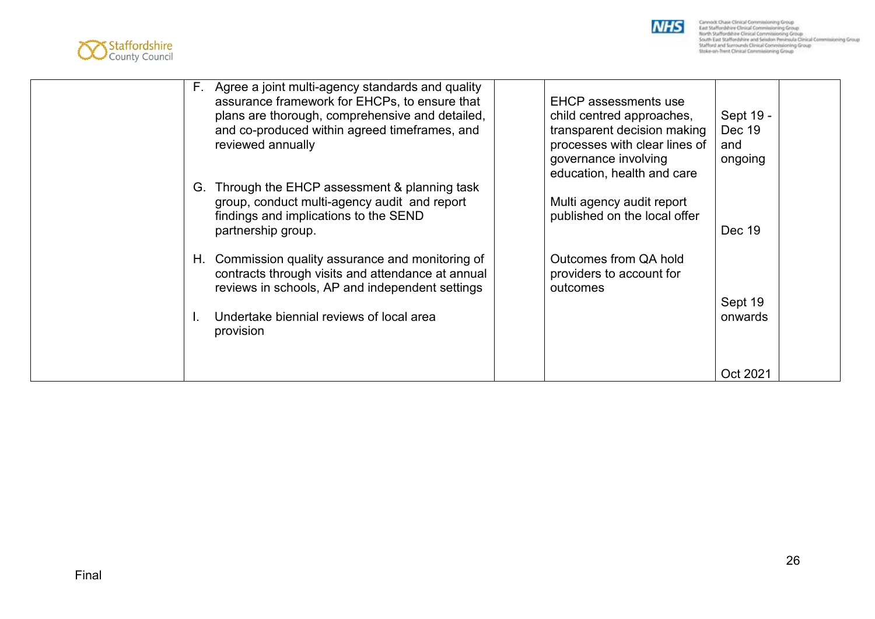



| F. Agree a joint multi-agency standards and quality<br>assurance framework for EHCPs, to ensure that<br>plans are thorough, comprehensive and detailed,<br>and co-produced within agreed timeframes, and<br>reviewed annually<br>G. Through the EHCP assessment & planning task | <b>EHCP</b> assessments use<br>child centred approaches,<br>transparent decision making<br>processes with clear lines of<br>governance involving<br>education, health and care | Sept 19 -<br>Dec 19<br>and<br>ongoing |
|---------------------------------------------------------------------------------------------------------------------------------------------------------------------------------------------------------------------------------------------------------------------------------|--------------------------------------------------------------------------------------------------------------------------------------------------------------------------------|---------------------------------------|
| group, conduct multi-agency audit and report<br>findings and implications to the SEND<br>partnership group.                                                                                                                                                                     | Multi agency audit report<br>published on the local offer                                                                                                                      | Dec 19                                |
| H. Commission quality assurance and monitoring of<br>contracts through visits and attendance at annual<br>reviews in schools, AP and independent settings<br>Undertake biennial reviews of local area<br>provision                                                              | Outcomes from QA hold<br>providers to account for<br>outcomes                                                                                                                  | Sept 19<br>onwards                    |
|                                                                                                                                                                                                                                                                                 |                                                                                                                                                                                | Oct 2021                              |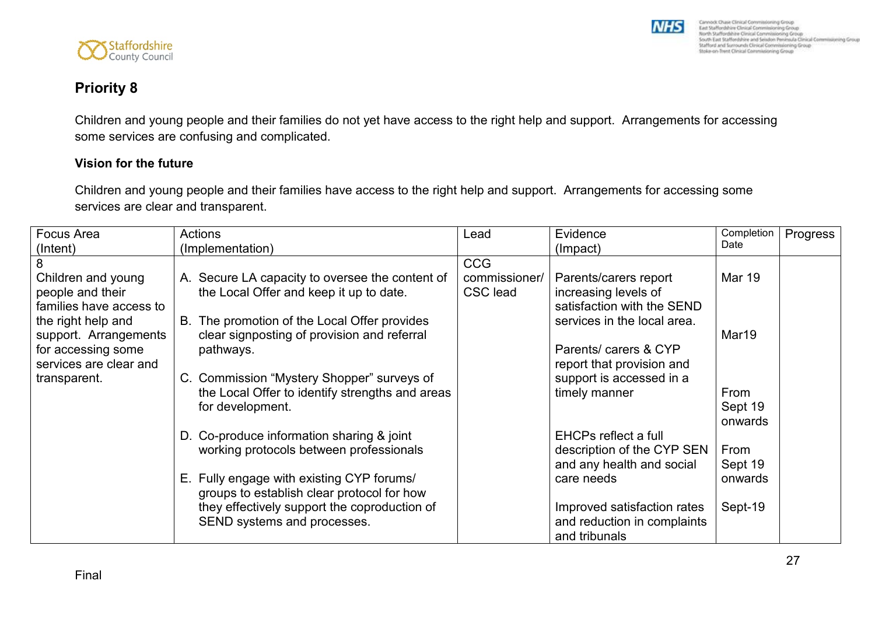

# **Priority 8**

Children and young people and their families do not yet have access to the right help and support. Arrangements for accessing some services are confusing and complicated.

#### **Vision for the future**

Staffordshire

Children and young people and their families have access to the right help and support. Arrangements for accessing some services are clear and transparent.

| Focus Area              | Actions                                                                                       | Lead            | Evidence                                  | Completion    | Progress |
|-------------------------|-----------------------------------------------------------------------------------------------|-----------------|-------------------------------------------|---------------|----------|
| (Intent)                | (Implementation)                                                                              |                 | (Impact)                                  | Date          |          |
|                         |                                                                                               | <b>CCG</b>      |                                           |               |          |
| Children and young      | A. Secure LA capacity to oversee the content of                                               | commissioner/   | Parents/carers report                     | <b>Mar 19</b> |          |
| people and their        | the Local Offer and keep it up to date.                                                       | <b>CSC</b> lead | increasing levels of                      |               |          |
| families have access to |                                                                                               |                 | satisfaction with the SEND                |               |          |
| the right help and      | B. The promotion of the Local Offer provides                                                  |                 | services in the local area.               |               |          |
| support. Arrangements   | clear signposting of provision and referral                                                   |                 |                                           | Mar19         |          |
| for accessing some      | pathways.                                                                                     |                 | Parents/ carers & CYP                     |               |          |
| services are clear and  |                                                                                               |                 | report that provision and                 |               |          |
| transparent.            | C. Commission "Mystery Shopper" surveys of<br>the Local Offer to identify strengths and areas |                 | support is accessed in a<br>timely manner | From          |          |
|                         | for development.                                                                              |                 |                                           | Sept 19       |          |
|                         |                                                                                               |                 |                                           | onwards       |          |
|                         | D. Co-produce information sharing & joint                                                     |                 | <b>EHCPs reflect a full</b>               |               |          |
|                         | working protocols between professionals                                                       |                 | description of the CYP SEN                | From          |          |
|                         |                                                                                               |                 | and any health and social                 | Sept 19       |          |
|                         | E. Fully engage with existing CYP forums/                                                     |                 | care needs                                | onwards       |          |
|                         | groups to establish clear protocol for how                                                    |                 |                                           |               |          |
|                         | they effectively support the coproduction of                                                  |                 | Improved satisfaction rates               | Sept-19       |          |
|                         | SEND systems and processes.                                                                   |                 | and reduction in complaints               |               |          |
|                         |                                                                                               |                 | and tribunals                             |               |          |